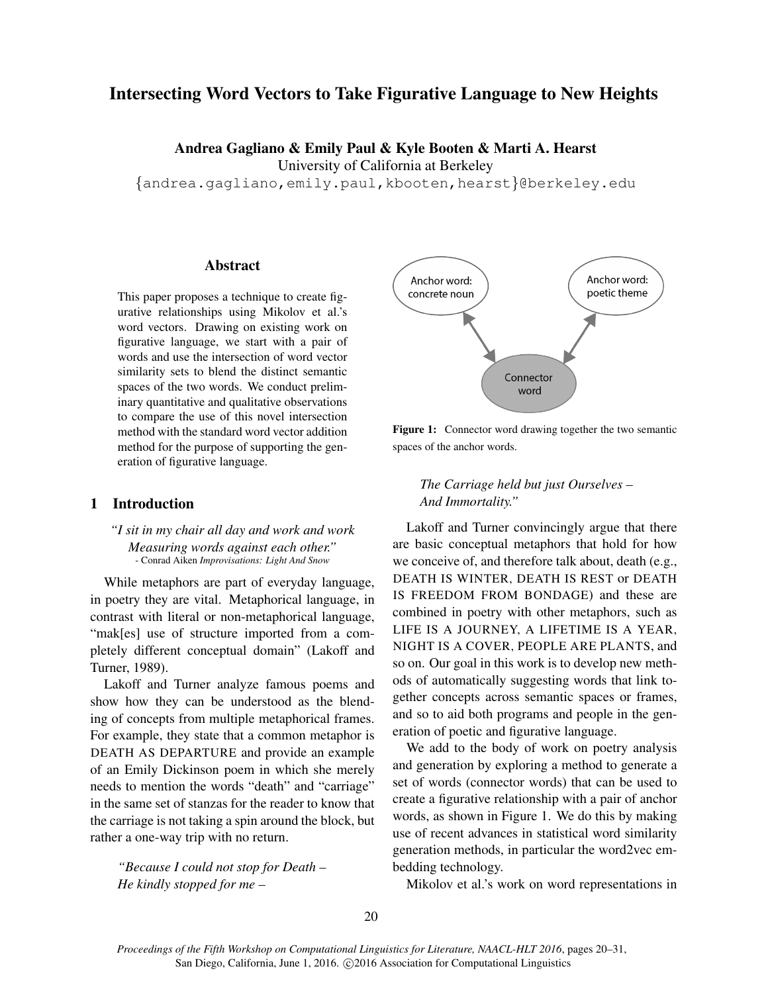# Intersecting Word Vectors to Take Figurative Language to New Heights

Andrea Gagliano & Emily Paul & Kyle Booten & Marti A. Hearst

University of California at Berkeley

{andrea.gagliano,emily.paul,kbooten,hearst}@berkeley.edu

## Abstract

This paper proposes a technique to create figurative relationships using Mikolov et al.'s word vectors. Drawing on existing work on figurative language, we start with a pair of words and use the intersection of word vector similarity sets to blend the distinct semantic spaces of the two words. We conduct preliminary quantitative and qualitative observations to compare the use of this novel intersection method with the standard word vector addition method for the purpose of supporting the generation of figurative language.

# 1 Introduction

## *"I sit in my chair all day and work and work Measuring words against each other."* - Conrad Aiken *Improvisations: Light And Snow*

While metaphors are part of everyday language, in poetry they are vital. Metaphorical language, in contrast with literal or non-metaphorical language, "mak[es] use of structure imported from a completely different conceptual domain" (Lakoff and Turner, 1989).

Lakoff and Turner analyze famous poems and show how they can be understood as the blending of concepts from multiple metaphorical frames. For example, they state that a common metaphor is DEATH AS DEPARTURE and provide an example of an Emily Dickinson poem in which she merely needs to mention the words "death" and "carriage" in the same set of stanzas for the reader to know that the carriage is not taking a spin around the block, but rather a one-way trip with no return.

*"Because I could not stop for Death – He kindly stopped for me –*



Figure 1: Connector word drawing together the two semantic spaces of the anchor words.

## *The Carriage held but just Ourselves – And Immortality."*

Lakoff and Turner convincingly argue that there are basic conceptual metaphors that hold for how we conceive of, and therefore talk about, death (e.g., DEATH IS WINTER, DEATH IS REST or DEATH IS FREEDOM FROM BONDAGE) and these are combined in poetry with other metaphors, such as LIFE IS A JOURNEY, A LIFETIME IS A YEAR, NIGHT IS A COVER, PEOPLE ARE PLANTS, and so on. Our goal in this work is to develop new methods of automatically suggesting words that link together concepts across semantic spaces or frames, and so to aid both programs and people in the generation of poetic and figurative language.

We add to the body of work on poetry analysis and generation by exploring a method to generate a set of words (connector words) that can be used to create a figurative relationship with a pair of anchor words, as shown in Figure 1. We do this by making use of recent advances in statistical word similarity generation methods, in particular the word2vec embedding technology.

Mikolov et al.'s work on word representations in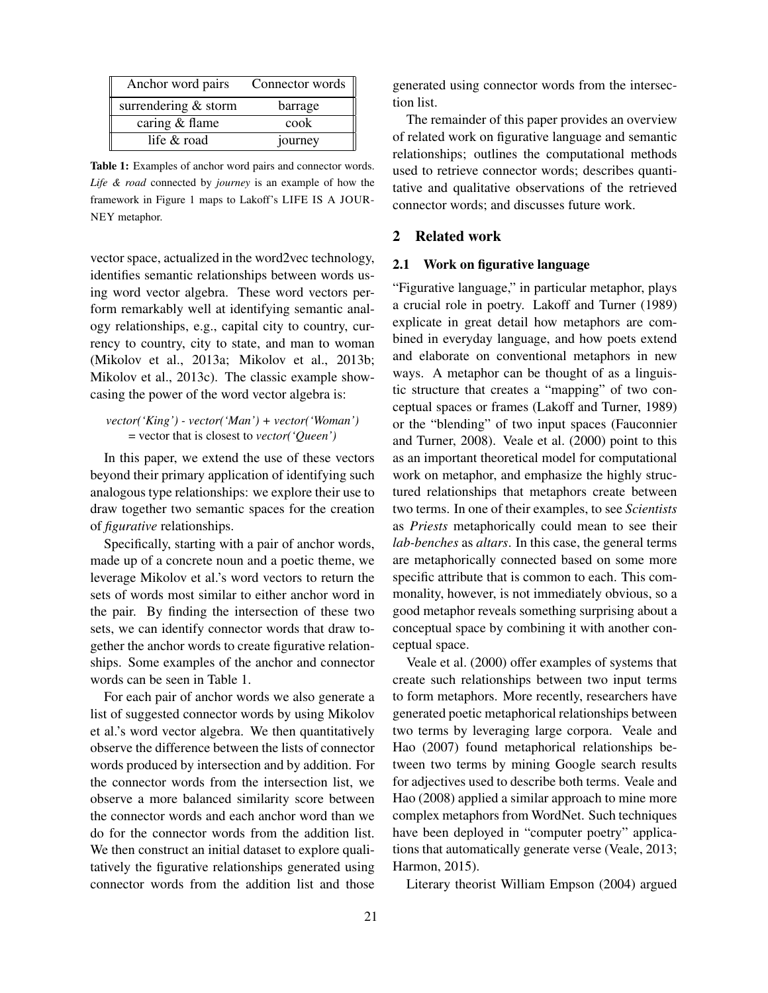| Anchor word pairs    | Connector words $\parallel$ |
|----------------------|-----------------------------|
| surrendering & storm | barrage                     |
| caring & flame       | cook                        |
| life & road          | journey                     |

Table 1: Examples of anchor word pairs and connector words. *Life & road* connected by *journey* is an example of how the framework in Figure 1 maps to Lakoff's LIFE IS A JOUR-NEY metaphor.

vector space, actualized in the word2vec technology, identifies semantic relationships between words using word vector algebra. These word vectors perform remarkably well at identifying semantic analogy relationships, e.g., capital city to country, currency to country, city to state, and man to woman (Mikolov et al., 2013a; Mikolov et al., 2013b; Mikolov et al., 2013c). The classic example showcasing the power of the word vector algebra is:

*vector('King') - vector('Man') + vector('Woman')* = vector that is closest to *vector('Queen')*

In this paper, we extend the use of these vectors beyond their primary application of identifying such analogous type relationships: we explore their use to draw together two semantic spaces for the creation of *figurative* relationships.

Specifically, starting with a pair of anchor words, made up of a concrete noun and a poetic theme, we leverage Mikolov et al.'s word vectors to return the sets of words most similar to either anchor word in the pair. By finding the intersection of these two sets, we can identify connector words that draw together the anchor words to create figurative relationships. Some examples of the anchor and connector words can be seen in Table 1.

For each pair of anchor words we also generate a list of suggested connector words by using Mikolov et al.'s word vector algebra. We then quantitatively observe the difference between the lists of connector words produced by intersection and by addition. For the connector words from the intersection list, we observe a more balanced similarity score between the connector words and each anchor word than we do for the connector words from the addition list. We then construct an initial dataset to explore qualitatively the figurative relationships generated using connector words from the addition list and those

generated using connector words from the intersection list.

The remainder of this paper provides an overview of related work on figurative language and semantic relationships; outlines the computational methods used to retrieve connector words; describes quantitative and qualitative observations of the retrieved connector words; and discusses future work.

# 2 Related work

#### 2.1 Work on figurative language

"Figurative language," in particular metaphor, plays a crucial role in poetry. Lakoff and Turner (1989) explicate in great detail how metaphors are combined in everyday language, and how poets extend and elaborate on conventional metaphors in new ways. A metaphor can be thought of as a linguistic structure that creates a "mapping" of two conceptual spaces or frames (Lakoff and Turner, 1989) or the "blending" of two input spaces (Fauconnier and Turner, 2008). Veale et al. (2000) point to this as an important theoretical model for computational work on metaphor, and emphasize the highly structured relationships that metaphors create between two terms. In one of their examples, to see *Scientists* as *Priests* metaphorically could mean to see their *lab-benches* as *altars*. In this case, the general terms are metaphorically connected based on some more specific attribute that is common to each. This commonality, however, is not immediately obvious, so a good metaphor reveals something surprising about a conceptual space by combining it with another conceptual space.

Veale et al. (2000) offer examples of systems that create such relationships between two input terms to form metaphors. More recently, researchers have generated poetic metaphorical relationships between two terms by leveraging large corpora. Veale and Hao (2007) found metaphorical relationships between two terms by mining Google search results for adjectives used to describe both terms. Veale and Hao (2008) applied a similar approach to mine more complex metaphors from WordNet. Such techniques have been deployed in "computer poetry" applications that automatically generate verse (Veale, 2013; Harmon, 2015).

Literary theorist William Empson (2004) argued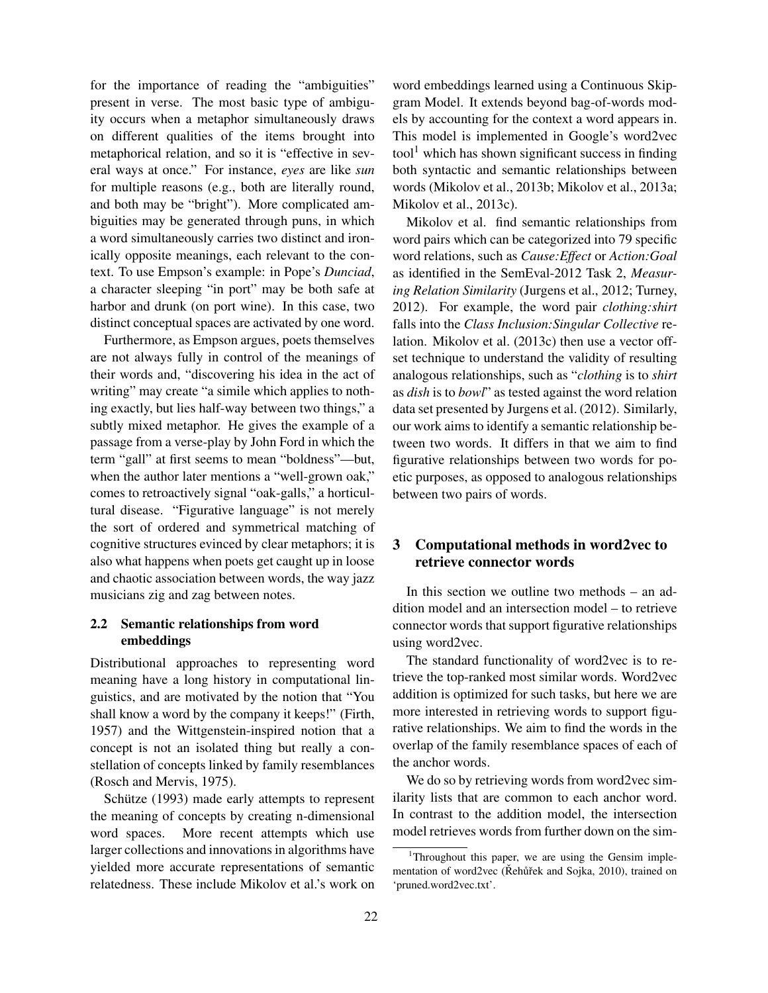for the importance of reading the "ambiguities" present in verse. The most basic type of ambiguity occurs when a metaphor simultaneously draws on different qualities of the items brought into metaphorical relation, and so it is "effective in several ways at once." For instance, *eyes* are like *sun* for multiple reasons (e.g., both are literally round, and both may be "bright"). More complicated ambiguities may be generated through puns, in which a word simultaneously carries two distinct and ironically opposite meanings, each relevant to the context. To use Empson's example: in Pope's *Dunciad*, a character sleeping "in port" may be both safe at harbor and drunk (on port wine). In this case, two distinct conceptual spaces are activated by one word.

Furthermore, as Empson argues, poets themselves are not always fully in control of the meanings of their words and, "discovering his idea in the act of writing" may create "a simile which applies to nothing exactly, but lies half-way between two things," a subtly mixed metaphor. He gives the example of a passage from a verse-play by John Ford in which the term "gall" at first seems to mean "boldness"—but, when the author later mentions a "well-grown oak," comes to retroactively signal "oak-galls," a horticultural disease. "Figurative language" is not merely the sort of ordered and symmetrical matching of cognitive structures evinced by clear metaphors; it is also what happens when poets get caught up in loose and chaotic association between words, the way jazz musicians zig and zag between notes.

# 2.2 Semantic relationships from word embeddings

Distributional approaches to representing word meaning have a long history in computational linguistics, and are motivated by the notion that "You shall know a word by the company it keeps!" (Firth, 1957) and the Wittgenstein-inspired notion that a concept is not an isolated thing but really a constellation of concepts linked by family resemblances (Rosch and Mervis, 1975).

Schütze (1993) made early attempts to represent the meaning of concepts by creating n-dimensional word spaces. More recent attempts which use larger collections and innovations in algorithms have yielded more accurate representations of semantic relatedness. These include Mikolov et al.'s work on word embeddings learned using a Continuous Skipgram Model. It extends beyond bag-of-words models by accounting for the context a word appears in. This model is implemented in Google's word2vec  $\text{tool}^1$  which has shown significant success in finding both syntactic and semantic relationships between words (Mikolov et al., 2013b; Mikolov et al., 2013a; Mikolov et al., 2013c).

Mikolov et al. find semantic relationships from word pairs which can be categorized into 79 specific word relations, such as *Cause:Effect* or *Action:Goal* as identified in the SemEval-2012 Task 2, *Measuring Relation Similarity* (Jurgens et al., 2012; Turney, 2012). For example, the word pair *clothing:shirt* falls into the *Class Inclusion:Singular Collective* relation. Mikolov et al. (2013c) then use a vector offset technique to understand the validity of resulting analogous relationships, such as "*clothing* is to *shirt* as *dish* is to *bowl*" as tested against the word relation data set presented by Jurgens et al. (2012). Similarly, our work aims to identify a semantic relationship between two words. It differs in that we aim to find figurative relationships between two words for poetic purposes, as opposed to analogous relationships between two pairs of words.

# 3 Computational methods in word2vec to retrieve connector words

In this section we outline two methods – an addition model and an intersection model – to retrieve connector words that support figurative relationships using word2vec.

The standard functionality of word2vec is to retrieve the top-ranked most similar words. Word2vec addition is optimized for such tasks, but here we are more interested in retrieving words to support figurative relationships. We aim to find the words in the overlap of the family resemblance spaces of each of the anchor words.

We do so by retrieving words from word2vec similarity lists that are common to each anchor word. In contrast to the addition model, the intersection model retrieves words from further down on the sim-

<sup>&</sup>lt;sup>1</sup>Throughout this paper, we are using the Gensim implementation of word2vec (Řehůřek and Sojka, 2010), trained on 'pruned.word2vec.txt'.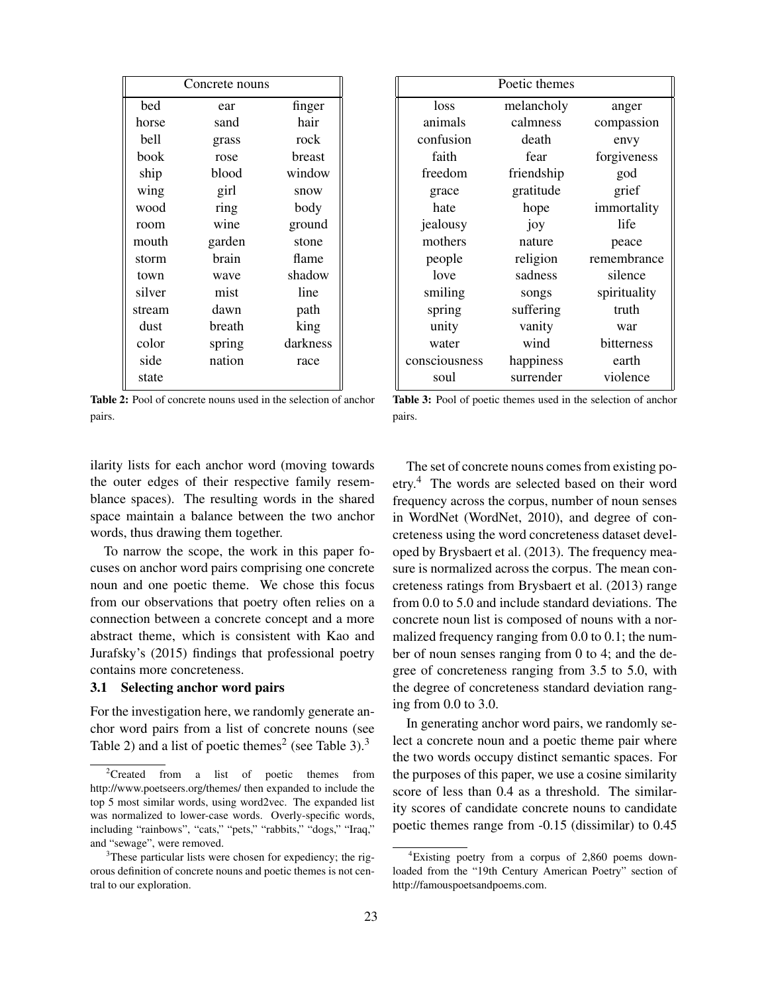| Concrete nouns |        |          |
|----------------|--------|----------|
| bed            | ear    | finger   |
| horse          | sand   | hair     |
| bell           | grass  | rock     |
| book           | rose   | breast   |
| ship           | blood  | window   |
| wing           | girl   | snow     |
| wood           | ring   | body     |
| room           | wine   | ground   |
| mouth          | garden | stone    |
| storm          | brain  | flame    |
| town           | wave   | shadow   |
| silver         | mist   | line     |
| stream         | dawn   | path     |
| dust           | breath | king     |
| color          | spring | darkness |
| side           | nation | race     |
| state          |        |          |

Table 2: Pool of concrete nouns used in the selection of anchor pairs.

| Poetic themes |            |              |
|---------------|------------|--------------|
| loss          | melancholy | anger        |
| animals       | calmness   | compassion   |
| confusion     | death      | envy         |
| faith         | fear       | forgiveness  |
| freedom       | friendship | god          |
| grace         | gratitude  | grief        |
| hate          | hope       | immortality  |
| jealousy      | joy        | life         |
| mothers       | nature     | peace        |
| people        | religion   | remembrance  |
| love          | sadness    | silence      |
| smiling       | songs      | spirituality |
| spring        | suffering  | truth        |
| unity         | vanity     | war          |
| water         | wind       | bitterness   |
| consciousness | happiness  | earth        |
| soul          | surrender  | violence     |

Table 3: Pool of poetic themes used in the selection of anchor pairs.

ilarity lists for each anchor word (moving towards the outer edges of their respective family resemblance spaces). The resulting words in the shared space maintain a balance between the two anchor words, thus drawing them together.

To narrow the scope, the work in this paper focuses on anchor word pairs comprising one concrete noun and one poetic theme. We chose this focus from our observations that poetry often relies on a connection between a concrete concept and a more abstract theme, which is consistent with Kao and Jurafsky's (2015) findings that professional poetry contains more concreteness.

### 3.1 Selecting anchor word pairs

For the investigation here, we randomly generate anchor word pairs from a list of concrete nouns (see Table 2) and a list of poetic themes<sup>2</sup> (see Table 3).<sup>3</sup>

The set of concrete nouns comes from existing poetry.<sup>4</sup> The words are selected based on their word frequency across the corpus, number of noun senses in WordNet (WordNet, 2010), and degree of concreteness using the word concreteness dataset developed by Brysbaert et al. (2013). The frequency measure is normalized across the corpus. The mean concreteness ratings from Brysbaert et al. (2013) range from 0.0 to 5.0 and include standard deviations. The concrete noun list is composed of nouns with a normalized frequency ranging from 0.0 to 0.1; the number of noun senses ranging from 0 to 4; and the degree of concreteness ranging from 3.5 to 5.0, with the degree of concreteness standard deviation ranging from 0.0 to 3.0.

In generating anchor word pairs, we randomly select a concrete noun and a poetic theme pair where the two words occupy distinct semantic spaces. For the purposes of this paper, we use a cosine similarity score of less than 0.4 as a threshold. The similarity scores of candidate concrete nouns to candidate poetic themes range from -0.15 (dissimilar) to 0.45

 ${}^{2}$ Created from a list of poetic themes from http://www.poetseers.org/themes/ then expanded to include the top 5 most similar words, using word2vec. The expanded list was normalized to lower-case words. Overly-specific words, including "rainbows", "cats," "pets," "rabbits," "dogs," "Iraq," and "sewage", were removed.

<sup>&</sup>lt;sup>3</sup>These particular lists were chosen for expediency; the rigorous definition of concrete nouns and poetic themes is not central to our exploration.

<sup>4</sup>Existing poetry from a corpus of 2,860 poems downloaded from the "19th Century American Poetry" section of http://famouspoetsandpoems.com.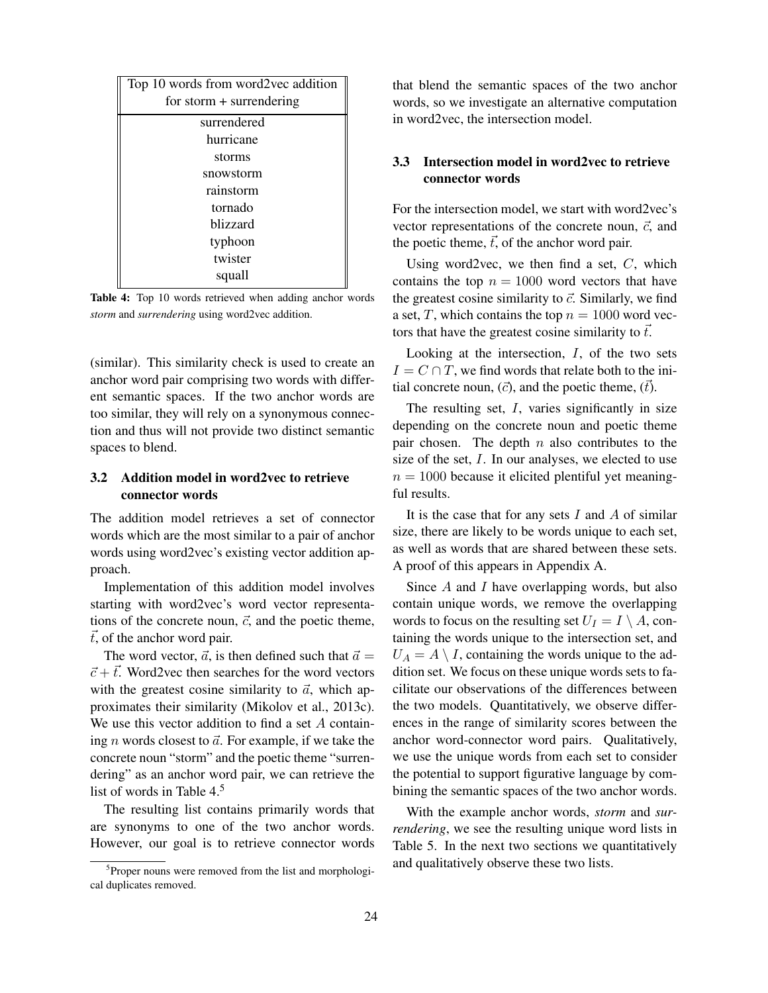| Top 10 words from word2vec addition<br>for storm $+$ surrendering |  |  |
|-------------------------------------------------------------------|--|--|
| surrendered                                                       |  |  |
| hurricane                                                         |  |  |
| storms                                                            |  |  |
| snowstorm                                                         |  |  |
| rainstorm                                                         |  |  |
| tornado                                                           |  |  |
| blizzard                                                          |  |  |
| typhoon                                                           |  |  |
| twister                                                           |  |  |
| squall                                                            |  |  |

Table 4: Top 10 words retrieved when adding anchor words *storm* and *surrendering* using word2vec addition.

(similar). This similarity check is used to create an anchor word pair comprising two words with different semantic spaces. If the two anchor words are too similar, they will rely on a synonymous connection and thus will not provide two distinct semantic spaces to blend.

# 3.2 Addition model in word2vec to retrieve connector words

The addition model retrieves a set of connector words which are the most similar to a pair of anchor words using word2vec's existing vector addition approach.

Implementation of this addition model involves starting with word2vec's word vector representations of the concrete noun,  $\vec{c}$ , and the poetic theme,  $\vec{t}$ , of the anchor word pair.

The word vector,  $\vec{a}$ , is then defined such that  $\vec{a} =$  $\vec{c} + \vec{t}$ . Word2vec then searches for the word vectors with the greatest cosine similarity to  $\vec{a}$ , which approximates their similarity (Mikolov et al., 2013c). We use this vector addition to find a set A containing *n* words closest to  $\vec{a}$ . For example, if we take the concrete noun "storm" and the poetic theme "surrendering" as an anchor word pair, we can retrieve the list of words in Table 4.<sup>5</sup>

The resulting list contains primarily words that are synonyms to one of the two anchor words. However, our goal is to retrieve connector words

that blend the semantic spaces of the two anchor words, so we investigate an alternative computation in word2vec, the intersection model.

# 3.3 Intersection model in word2vec to retrieve connector words

For the intersection model, we start with word2vec's vector representations of the concrete noun,  $\vec{c}$ , and the poetic theme,  $\vec{t}$ , of the anchor word pair.

Using word2vec, we then find a set,  $C$ , which contains the top  $n = 1000$  word vectors that have the greatest cosine similarity to  $\vec{c}$ . Similarly, we find a set, T, which contains the top  $n = 1000$  word vectors that have the greatest cosine similarity to  $\vec{t}$ .

Looking at the intersection, I, of the two sets  $I = C \cap T$ , we find words that relate both to the initial concrete noun,  $(\vec{c})$ , and the poetic theme,  $(\vec{t})$ .

The resulting set,  $I$ , varies significantly in size depending on the concrete noun and poetic theme pair chosen. The depth  $n$  also contributes to the size of the set, I. In our analyses, we elected to use  $n = 1000$  because it elicited plentiful yet meaningful results.

It is the case that for any sets  $I$  and  $A$  of similar size, there are likely to be words unique to each set, as well as words that are shared between these sets. A proof of this appears in Appendix A.

Since  $A$  and  $I$  have overlapping words, but also contain unique words, we remove the overlapping words to focus on the resulting set  $U_I = I \setminus A$ , containing the words unique to the intersection set, and  $U_A = A \setminus I$ , containing the words unique to the addition set. We focus on these unique words sets to facilitate our observations of the differences between the two models. Quantitatively, we observe differences in the range of similarity scores between the anchor word-connector word pairs. Qualitatively, we use the unique words from each set to consider the potential to support figurative language by combining the semantic spaces of the two anchor words.

With the example anchor words, *storm* and *surrendering*, we see the resulting unique word lists in Table 5. In the next two sections we quantitatively and qualitatively observe these two lists.

<sup>&</sup>lt;sup>5</sup>Proper nouns were removed from the list and morphological duplicates removed.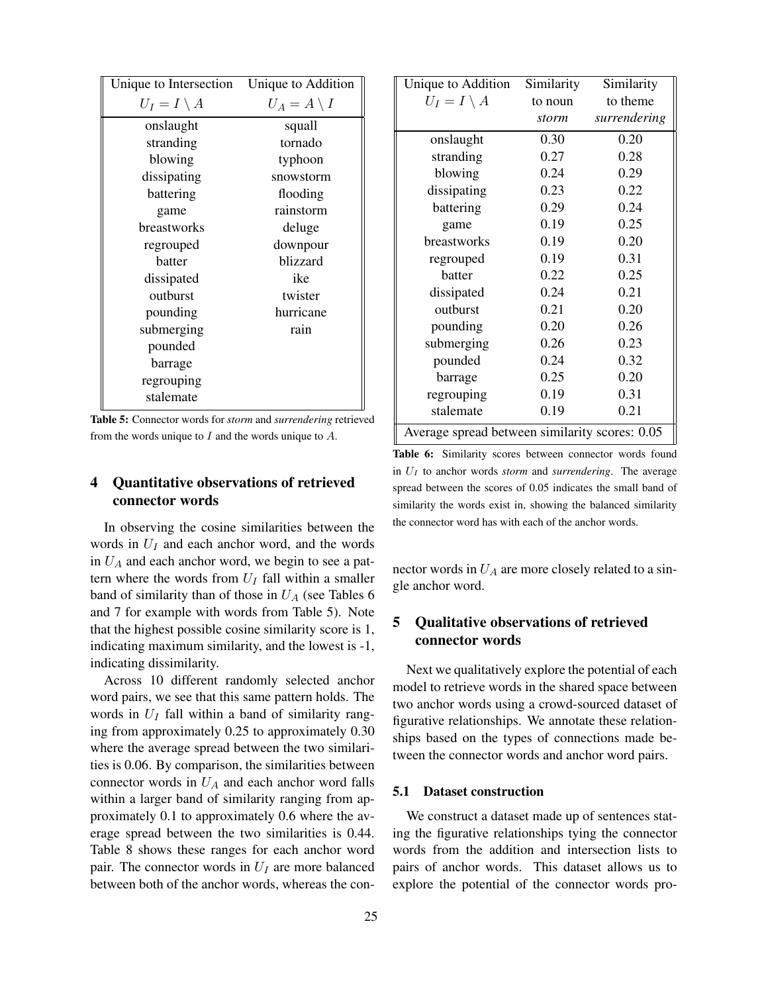| Unique to Intersection | Unique to Addition    |
|------------------------|-----------------------|
| $U_I = I \setminus A$  | $U_A = A \setminus I$ |
| onslaught              | squall                |
| stranding              | tornado               |
| blowing                | typhoon               |
| dissipating            | snowstorm             |
| battering              | flooding              |
| game                   | rainstorm             |
| breastworks            | deluge                |
| regrouped              | downpour              |
| batter                 | blizzard              |
| dissipated             | ike                   |
| outburst               | twister               |
| pounding               | hurricane             |
| submerging             | rain                  |
| pounded                |                       |
| barrage                |                       |
| regrouping             |                       |
| stalemate              |                       |
|                        |                       |

Table 5: Connector words for *storm* and *surrendering* retrieved from the words unique to  $I$  and the words unique to  $A$ .

# 4 Quantitative observations of retrieved connector words

In observing the cosine similarities between the words in  $U_I$  and each anchor word, and the words in  $U_A$  and each anchor word, we begin to see a pattern where the words from  $U_I$  fall within a smaller band of similarity than of those in  $U_A$  (see Tables 6 and 7 for example with words from Table 5). Note that the highest possible cosine similarity score is 1, indicating maximum similarity, and the lowest is -1, indicating dissimilarity.

Across 10 different randomly selected anchor word pairs, we see that this same pattern holds. The words in  $U_I$  fall within a band of similarity ranging from approximately 0.25 to approximately 0.30 where the average spread between the two similarities is 0.06. By comparison, the similarities between connector words in  $U_A$  and each anchor word falls within a larger band of similarity ranging from approximately 0.1 to approximately 0.6 where the average spread between the two similarities is 0.44. Table 8 shows these ranges for each anchor word pair. The connector words in  $U_I$  are more balanced between both of the anchor words, whereas the con-

| Unique to Addition<br>$U_I = I \setminus A$    | Similarity<br>to noun<br>storm | Similarity<br>to theme<br>surrendering |
|------------------------------------------------|--------------------------------|----------------------------------------|
| onslaught                                      | 0.30                           | 0.20                                   |
| stranding                                      | 0.27                           | 0.28                                   |
| blowing                                        | 0.24                           | 0.29                                   |
| dissipating                                    | 0.23                           | 0.22                                   |
| battering                                      | 0.29                           | 0.24                                   |
| game                                           | 0.19                           | 0.25                                   |
| breastworks                                    | 0.19                           | 0.20                                   |
| regrouped                                      | 0.19                           | 0.31                                   |
| batter                                         | 0.22                           | 0.25                                   |
| dissipated                                     | 0.24                           | 0.21                                   |
| outburst                                       | 0.21                           | 0.20                                   |
| pounding                                       | 0.20                           | 0.26                                   |
| submerging                                     | 0.26                           | 0.23                                   |
| pounded                                        | 0.24                           | 0.32                                   |
| barrage                                        | 0.25                           | 0.20                                   |
| regrouping                                     | 0.19                           | 0.31                                   |
| stalemate                                      | 0.19                           | 0.21                                   |
| Average spread between similarity scores: 0.05 |                                |                                        |

Table 6: Similarity scores between connector words found in  $U_I$  to anchor words *storm* and *surrendering*. The average spread between the scores of 0.05 indicates the small band of similarity the words exist in, showing the balanced similarity the connector word has with each of the anchor words.

nector words in  $U_A$  are more closely related to a single anchor word.

# 5 Qualitative observations of retrieved connector words

Next we qualitatively explore the potential of each model to retrieve words in the shared space between two anchor words using a crowd-sourced dataset of figurative relationships. We annotate these relationships based on the types of connections made between the connector words and anchor word pairs.

## 5.1 Dataset construction

We construct a dataset made up of sentences stating the figurative relationships tying the connector words from the addition and intersection lists to pairs of anchor words. This dataset allows us to explore the potential of the connector words pro-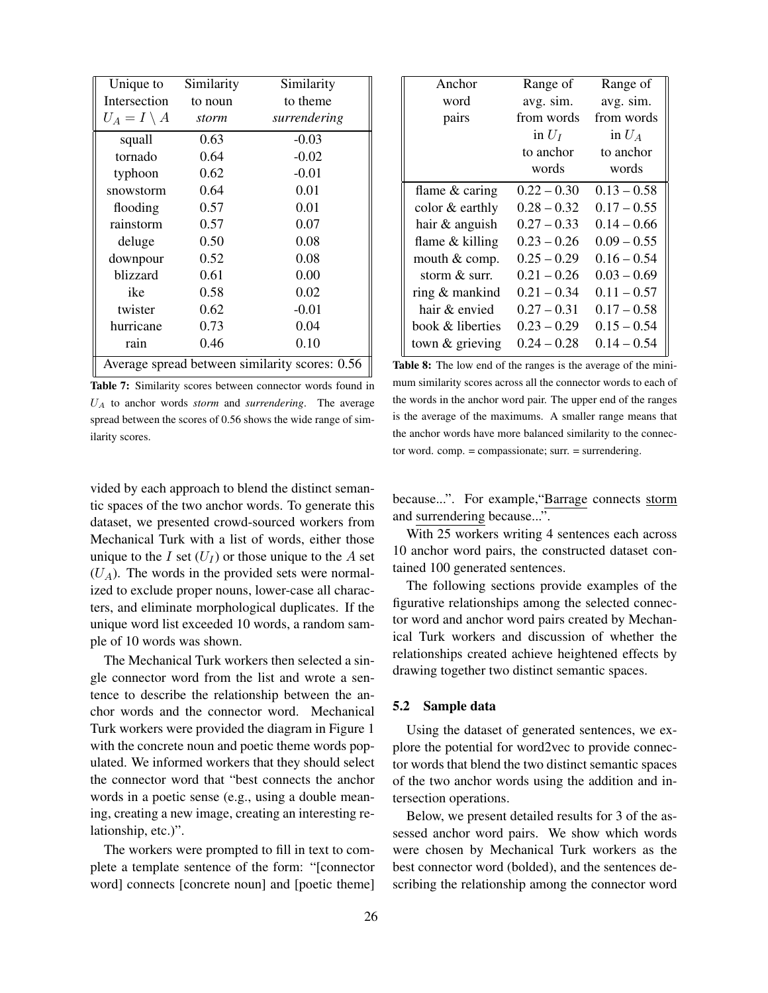| Unique to                                      | Similarity | Similarity   |
|------------------------------------------------|------------|--------------|
| Intersection                                   | to noun    | to theme     |
| $U_A = I \setminus A$                          | storm      | surrendering |
| squall                                         | 0.63       | $-0.03$      |
| tornado                                        | 0.64       | $-0.02$      |
| typhoon                                        | 0.62       | $-0.01$      |
| snowstorm                                      | 0.64       | 0.01         |
| flooding                                       | 0.57       | 0.01         |
| rainstorm                                      | 0.57       | 0.07         |
| deluge                                         | 0.50       | 0.08         |
| downpour                                       | 0.52       | 0.08         |
| blizzard                                       | 0.61       | 0.00         |
| 0.02<br>ike<br>0.58                            |            |              |
| twister                                        | 0.62       | $-0.01$      |
| hurricane                                      | 0.73       | 0.04         |
| rain                                           | 0.46       | 0.10         |
| Average spread between similarity scores: 0.56 |            |              |

Table 7: Similarity scores between connector words found in  $U_A$  to anchor words *storm* and *surrendering*. The average spread between the scores of 0.56 shows the wide range of similarity scores.

The Mechanical Turk workers then selected a single connector word from the list and wrote a sentence to describe the relationship between the anchor words and the connector word. Mechanical Turk workers were provided the diagram in Figure 1 with the concrete noun and poetic theme words populated. We informed workers that they should select the connector word that "best connects the anchor words in a poetic sense (e.g., using a double meaning, creating a new image, creating an interesting relationship, etc.)".

The workers were prompted to fill in text to complete a template sentence of the form: "[connector word] connects [concrete noun] and [poetic theme]

| Anchor            | Range of      | Range of      |
|-------------------|---------------|---------------|
| word              | avg. sim.     | avg. sim.     |
| pairs             | from words    | from words    |
|                   | in $U_I$      | in $U_A$      |
|                   | to anchor     | to anchor     |
|                   | words         | words         |
| flame $&$ caring  | $0.22 - 0.30$ | $0.13 - 0.58$ |
| color & earthly   | $0.28 - 0.32$ | $0.17 - 0.55$ |
| hair & anguish    | $0.27 - 0.33$ | $0.14 - 0.66$ |
| flame $&$ killing | $0.23 - 0.26$ | $0.09 - 0.55$ |
| mouth & comp.     | $0.25 - 0.29$ | $0.16 - 0.54$ |
| storm & surr.     | $0.21 - 0.26$ | $0.03 - 0.69$ |
| ring & mankind    | $0.21 - 0.34$ | $0.11 - 0.57$ |
| hair & envied     | $0.27 - 0.31$ | $0.17 - 0.58$ |
| book & liberties  | $0.23 - 0.29$ | $0.15 - 0.54$ |
| town & grieving   | $0.24 - 0.28$ | $0.14 - 0.54$ |

Table 8: The low end of the ranges is the average of the minimum similarity scores across all the connector words to each of the words in the anchor word pair. The upper end of the ranges is the average of the maximums. A smaller range means that the anchor words have more balanced similarity to the connector word. comp. = compassionate; surr. = surrendering.

because...". For example,"Barrage connects storm and surrendering because...".

With 25 workers writing 4 sentences each across 10 anchor word pairs, the constructed dataset contained 100 generated sentences.

The following sections provide examples of the figurative relationships among the selected connector word and anchor word pairs created by Mechanical Turk workers and discussion of whether the relationships created achieve heightened effects by drawing together two distinct semantic spaces.

#### 5.2 Sample data

Using the dataset of generated sentences, we explore the potential for word2vec to provide connector words that blend the two distinct semantic spaces of the two anchor words using the addition and intersection operations.

Below, we present detailed results for 3 of the assessed anchor word pairs. We show which words were chosen by Mechanical Turk workers as the best connector word (bolded), and the sentences describing the relationship among the connector word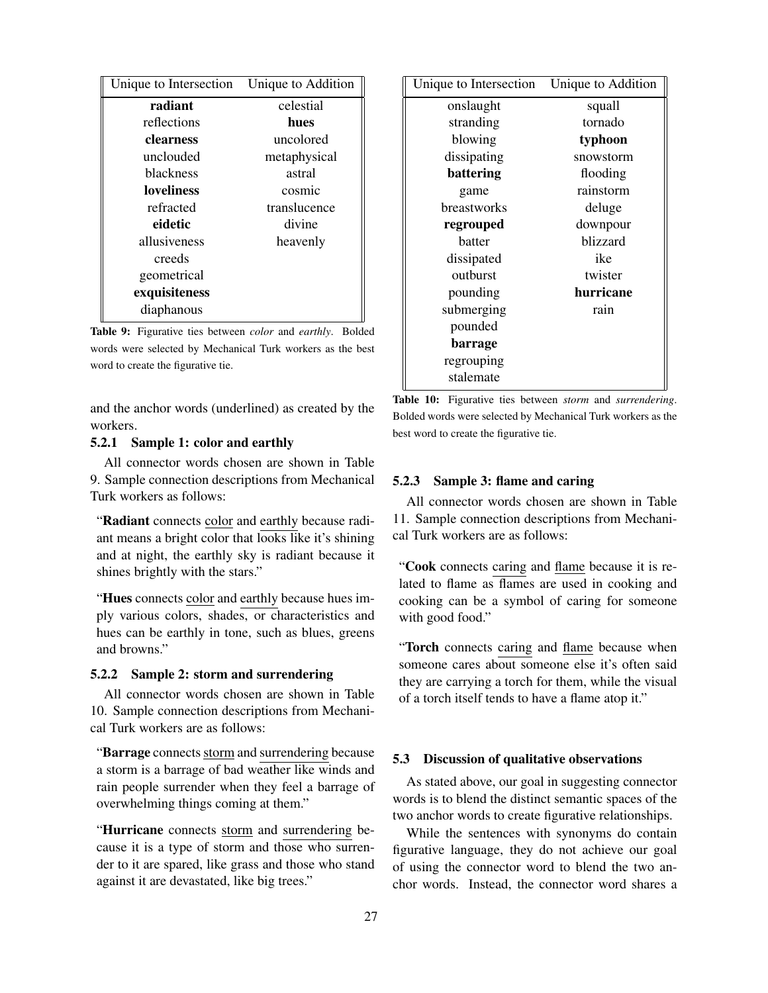| Unique to Intersection | Unique to Addition |
|------------------------|--------------------|
| radiant                | celestial          |
| reflections            | hues               |
| clearness              | uncolored          |
| unclouded              | metaphysical       |
| <b>blackness</b>       | astral             |
| <b>loveliness</b>      | cosmic             |
| refracted              | translucence       |
| eidetic                | divine             |
| allusiveness           | heavenly           |
| creeds                 |                    |
| geometrical            |                    |
| exquisiteness          |                    |
| diaphanous             |                    |

Table 9: Figurative ties between *color* and *earthly*. Bolded words were selected by Mechanical Turk workers as the best word to create the figurative tie.

and the anchor words (underlined) as created by the workers.

## 5.2.1 Sample 1: color and earthly

All connector words chosen are shown in Table 9. Sample connection descriptions from Mechanical Turk workers as follows:

"Radiant connects color and earthly because radiant means a bright color that looks like it's shining and at night, the earthly sky is radiant because it shines brightly with the stars."

"Hues connects color and earthly because hues imply various colors, shades, or characteristics and hues can be earthly in tone, such as blues, greens and browns."

### 5.2.2 Sample 2: storm and surrendering

All connector words chosen are shown in Table 10. Sample connection descriptions from Mechanical Turk workers are as follows:

"Barrage connects storm and surrendering because a storm is a barrage of bad weather like winds and rain people surrender when they feel a barrage of overwhelming things coming at them."

"Hurricane connects storm and surrendering because it is a type of storm and those who surrender to it are spared, like grass and those who stand against it are devastated, like big trees."

| Unique to Intersection | Unique to Addition |
|------------------------|--------------------|
| onslaught              | squall             |
| stranding              | tornado            |
| blowing                | typhoon            |
| dissipating            | snowstorm          |
| battering              | flooding           |
| game                   | rainstorm          |
| breastworks            | deluge             |
| regrouped              | downpour           |
| batter                 | blizzard           |
| dissipated             | ike                |
| outburst               | twister            |
| pounding               | hurricane          |
| submerging             | rain               |
| pounded                |                    |
| barrage                |                    |
| regrouping             |                    |
| stalemate              |                    |

Table 10: Figurative ties between *storm* and *surrendering*. Bolded words were selected by Mechanical Turk workers as the best word to create the figurative tie.

## 5.2.3 Sample 3: flame and caring

All connector words chosen are shown in Table 11. Sample connection descriptions from Mechanical Turk workers are as follows:

"Cook connects caring and flame because it is related to flame as flames are used in cooking and cooking can be a symbol of caring for someone with good food."

"Torch connects caring and flame because when someone cares about someone else it's often said they are carrying a torch for them, while the visual of a torch itself tends to have a flame atop it."

#### 5.3 Discussion of qualitative observations

As stated above, our goal in suggesting connector words is to blend the distinct semantic spaces of the two anchor words to create figurative relationships.

While the sentences with synonyms do contain figurative language, they do not achieve our goal of using the connector word to blend the two anchor words. Instead, the connector word shares a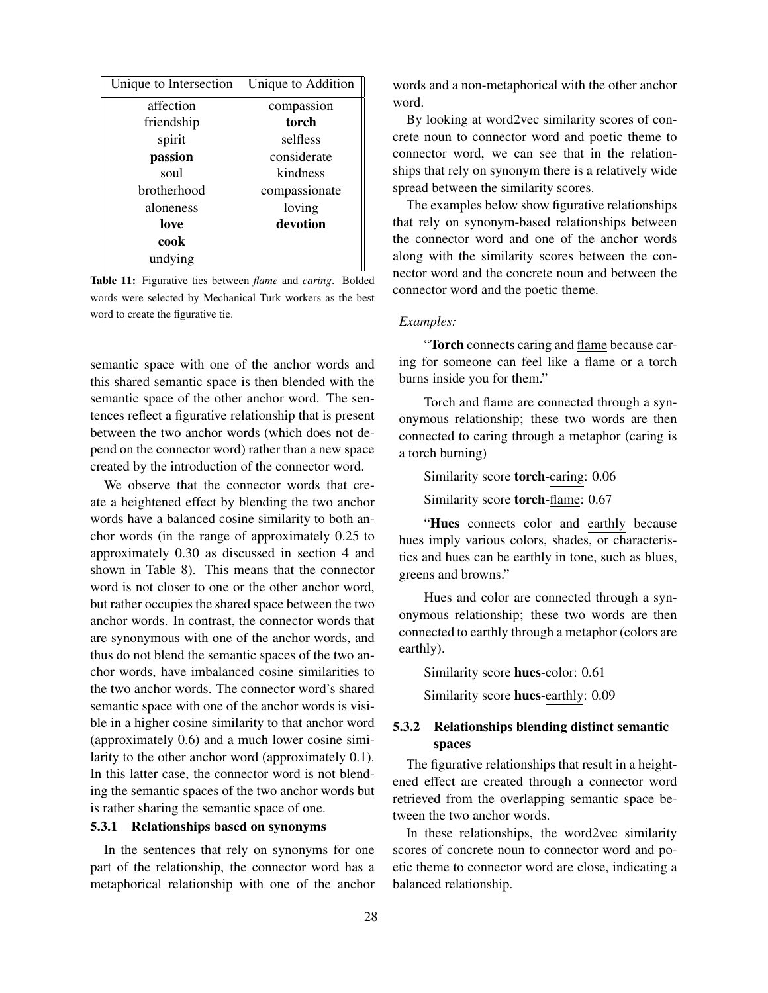| Unique to Intersection | Unique to Addition |
|------------------------|--------------------|
| affection              | compassion         |
| friendship             | torch              |
| spirit                 | selfless           |
| passion                | considerate        |
| soul                   | kindness           |
| <b>brotherhood</b>     | compassionate      |
| aloneness              | loving             |
| love                   | devotion           |
| cook                   |                    |
| undying                |                    |

Table 11: Figurative ties between *flame* and *caring*. Bolded words were selected by Mechanical Turk workers as the best word to create the figurative tie.

semantic space with one of the anchor words and this shared semantic space is then blended with the semantic space of the other anchor word. The sentences reflect a figurative relationship that is present between the two anchor words (which does not depend on the connector word) rather than a new space created by the introduction of the connector word.

We observe that the connector words that create a heightened effect by blending the two anchor words have a balanced cosine similarity to both anchor words (in the range of approximately 0.25 to approximately 0.30 as discussed in section 4 and shown in Table 8). This means that the connector word is not closer to one or the other anchor word, but rather occupies the shared space between the two anchor words. In contrast, the connector words that are synonymous with one of the anchor words, and thus do not blend the semantic spaces of the two anchor words, have imbalanced cosine similarities to the two anchor words. The connector word's shared semantic space with one of the anchor words is visible in a higher cosine similarity to that anchor word (approximately 0.6) and a much lower cosine similarity to the other anchor word (approximately 0.1). In this latter case, the connector word is not blending the semantic spaces of the two anchor words but is rather sharing the semantic space of one.

# 5.3.1 Relationships based on synonyms

In the sentences that rely on synonyms for one part of the relationship, the connector word has a metaphorical relationship with one of the anchor words and a non-metaphorical with the other anchor word.

By looking at word2vec similarity scores of concrete noun to connector word and poetic theme to connector word, we can see that in the relationships that rely on synonym there is a relatively wide spread between the similarity scores.

The examples below show figurative relationships that rely on synonym-based relationships between the connector word and one of the anchor words along with the similarity scores between the connector word and the concrete noun and between the connector word and the poetic theme.

#### *Examples:*

"Torch connects caring and flame because caring for someone can feel like a flame or a torch burns inside you for them."

Torch and flame are connected through a synonymous relationship; these two words are then connected to caring through a metaphor (caring is a torch burning)

Similarity score torch-caring: 0.06

Similarity score torch-flame: 0.67

"Hues connects color and earthly because hues imply various colors, shades, or characteristics and hues can be earthly in tone, such as blues, greens and browns."

Hues and color are connected through a synonymous relationship; these two words are then connected to earthly through a metaphor (colors are earthly).

Similarity score hues-color: 0.61 Similarity score hues-earthly: 0.09

# 5.3.2 Relationships blending distinct semantic spaces

The figurative relationships that result in a heightened effect are created through a connector word retrieved from the overlapping semantic space between the two anchor words.

In these relationships, the word2vec similarity scores of concrete noun to connector word and poetic theme to connector word are close, indicating a balanced relationship.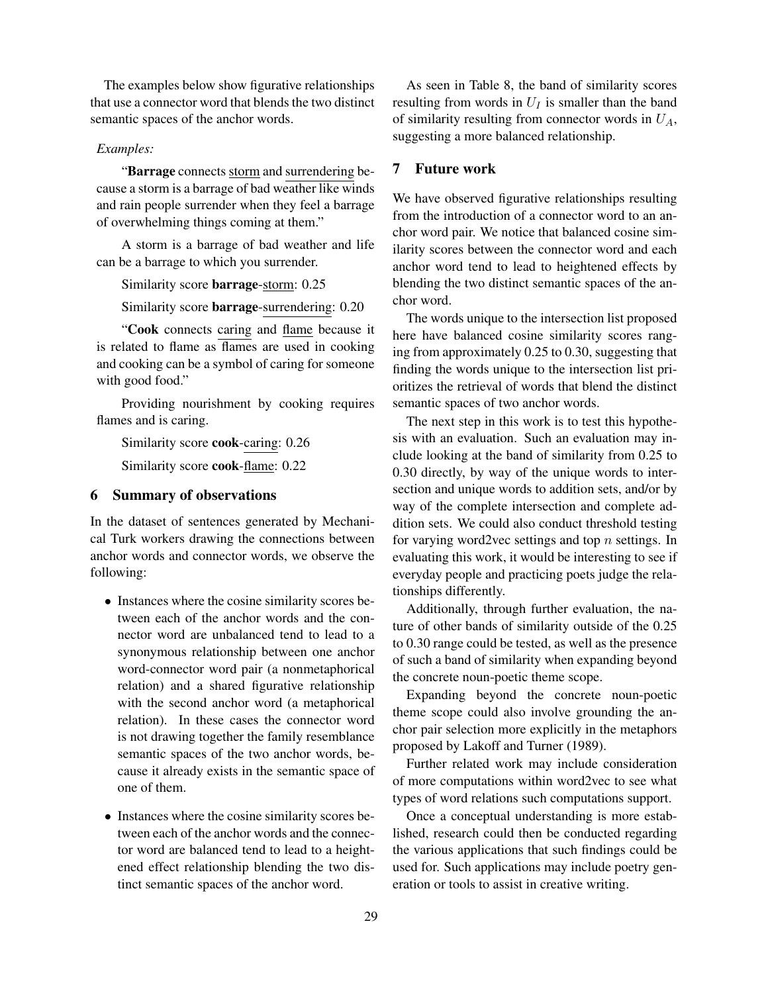The examples below show figurative relationships that use a connector word that blends the two distinct semantic spaces of the anchor words.

## *Examples:*

"Barrage connects storm and surrendering because a storm is a barrage of bad weather like winds and rain people surrender when they feel a barrage of overwhelming things coming at them."

A storm is a barrage of bad weather and life can be a barrage to which you surrender.

Similarity score barrage-storm: 0.25

Similarity score barrage-surrendering: 0.20

"Cook connects caring and flame because it is related to flame as flames are used in cooking and cooking can be a symbol of caring for someone with good food."

Providing nourishment by cooking requires flames and is caring.

Similarity score cook-caring: 0.26

Similarity score cook-flame: 0.22

# 6 Summary of observations

In the dataset of sentences generated by Mechanical Turk workers drawing the connections between anchor words and connector words, we observe the following:

- Instances where the cosine similarity scores between each of the anchor words and the connector word are unbalanced tend to lead to a synonymous relationship between one anchor word-connector word pair (a nonmetaphorical relation) and a shared figurative relationship with the second anchor word (a metaphorical relation). In these cases the connector word is not drawing together the family resemblance semantic spaces of the two anchor words, because it already exists in the semantic space of one of them.
- Instances where the cosine similarity scores between each of the anchor words and the connector word are balanced tend to lead to a heightened effect relationship blending the two distinct semantic spaces of the anchor word.

As seen in Table 8, the band of similarity scores resulting from words in  $U_I$  is smaller than the band of similarity resulting from connector words in  $U_A$ , suggesting a more balanced relationship.

## 7 Future work

We have observed figurative relationships resulting from the introduction of a connector word to an anchor word pair. We notice that balanced cosine similarity scores between the connector word and each anchor word tend to lead to heightened effects by blending the two distinct semantic spaces of the anchor word.

The words unique to the intersection list proposed here have balanced cosine similarity scores ranging from approximately 0.25 to 0.30, suggesting that finding the words unique to the intersection list prioritizes the retrieval of words that blend the distinct semantic spaces of two anchor words.

The next step in this work is to test this hypothesis with an evaluation. Such an evaluation may include looking at the band of similarity from 0.25 to 0.30 directly, by way of the unique words to intersection and unique words to addition sets, and/or by way of the complete intersection and complete addition sets. We could also conduct threshold testing for varying word2vec settings and top  $n$  settings. In evaluating this work, it would be interesting to see if everyday people and practicing poets judge the relationships differently.

Additionally, through further evaluation, the nature of other bands of similarity outside of the 0.25 to 0.30 range could be tested, as well as the presence of such a band of similarity when expanding beyond the concrete noun-poetic theme scope.

Expanding beyond the concrete noun-poetic theme scope could also involve grounding the anchor pair selection more explicitly in the metaphors proposed by Lakoff and Turner (1989).

Further related work may include consideration of more computations within word2vec to see what types of word relations such computations support.

Once a conceptual understanding is more established, research could then be conducted regarding the various applications that such findings could be used for. Such applications may include poetry generation or tools to assist in creative writing.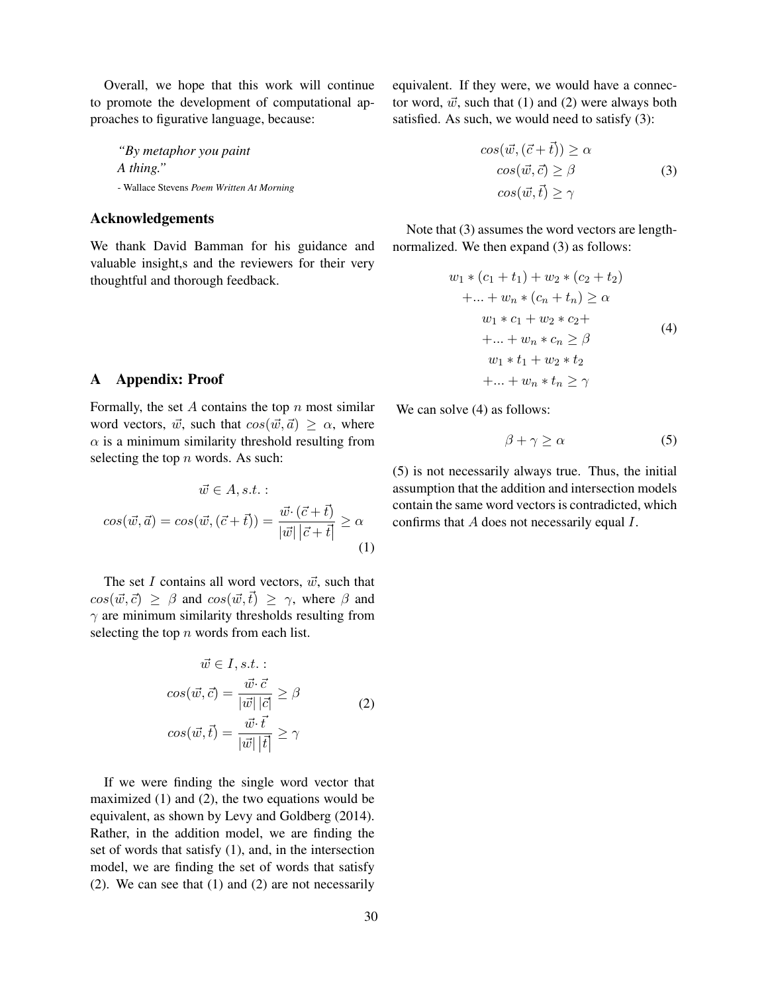Overall, we hope that this work will continue to promote the development of computational approaches to figurative language, because:

*"By metaphor you paint A thing."* - Wallace Stevens *Poem Written At Morning*

## Acknowledgements

We thank David Bamman for his guidance and valuable insight,s and the reviewers for their very thoughtful and thorough feedback.

# A Appendix: Proof

Formally, the set  $A$  contains the top  $n$  most similar word vectors,  $\vec{w}$ , such that  $cos(\vec{w}, \vec{a}) \ge \alpha$ , where  $\alpha$  is a minimum similarity threshold resulting from selecting the top  $n$  words. As such:

$$
\vec{w} \in A, s.t. :
$$

$$
cos(\vec{w}, \vec{a}) = cos(\vec{w}, (\vec{c} + \vec{t})) = \frac{\vec{w} \cdot (\vec{c} + \vec{t})}{|\vec{w}| |\vec{c} + \vec{t}|} \ge \alpha
$$
(1)

The set I contains all word vectors,  $\vec{w}$ , such that  $cos(\vec{w}, \vec{c}) \ge \beta$  and  $cos(\vec{w}, \vec{t}) \ge \gamma$ , where  $\beta$  and  $\gamma$  are minimum similarity thresholds resulting from selecting the top  $n$  words from each list.

$$
\vec{w} \in I, s.t. :
$$

$$
cos(\vec{w}, \vec{c}) = \frac{\vec{w} \cdot \vec{c}}{|\vec{w}| |\vec{c}|} \ge \beta
$$

$$
cos(\vec{w}, \vec{t}) = \frac{\vec{w} \cdot \vec{t}}{|\vec{w}| |\vec{t}|} \ge \gamma
$$
(2)

If we were finding the single word vector that maximized (1) and (2), the two equations would be equivalent, as shown by Levy and Goldberg (2014). Rather, in the addition model, we are finding the set of words that satisfy (1), and, in the intersection model, we are finding the set of words that satisfy (2). We can see that (1) and (2) are not necessarily equivalent. If they were, we would have a connector word,  $\vec{w}$ , such that (1) and (2) were always both satisfied. As such, we would need to satisfy (3):

$$
cos(\vec{w}, (\vec{c} + \vec{t})) \ge \alpha
$$
  
\n
$$
cos(\vec{w}, \vec{c}) \ge \beta
$$
  
\n
$$
cos(\vec{w}, \vec{t}) \ge \gamma
$$
\n(3)

Note that (3) assumes the word vectors are lengthnormalized. We then expand (3) as follows:

$$
w_1 * (c_1 + t_1) + w_2 * (c_2 + t_2)
$$
  
+...+ $w_n * (c_n + t_n) \ge \alpha$   
 $w_1 * c_1 + w_2 * c_2 +$   
+...+ $w_n * c_n \ge \beta$   
 $w_1 * t_1 + w_2 * t_2 + ... + w_n * t_n \ge \gamma$  (4)

We can solve  $(4)$  as follows:

$$
\beta + \gamma \ge \alpha \tag{5}
$$

(5) is not necessarily always true. Thus, the initial assumption that the addition and intersection models contain the same word vectors is contradicted, which confirms that A does not necessarily equal I.